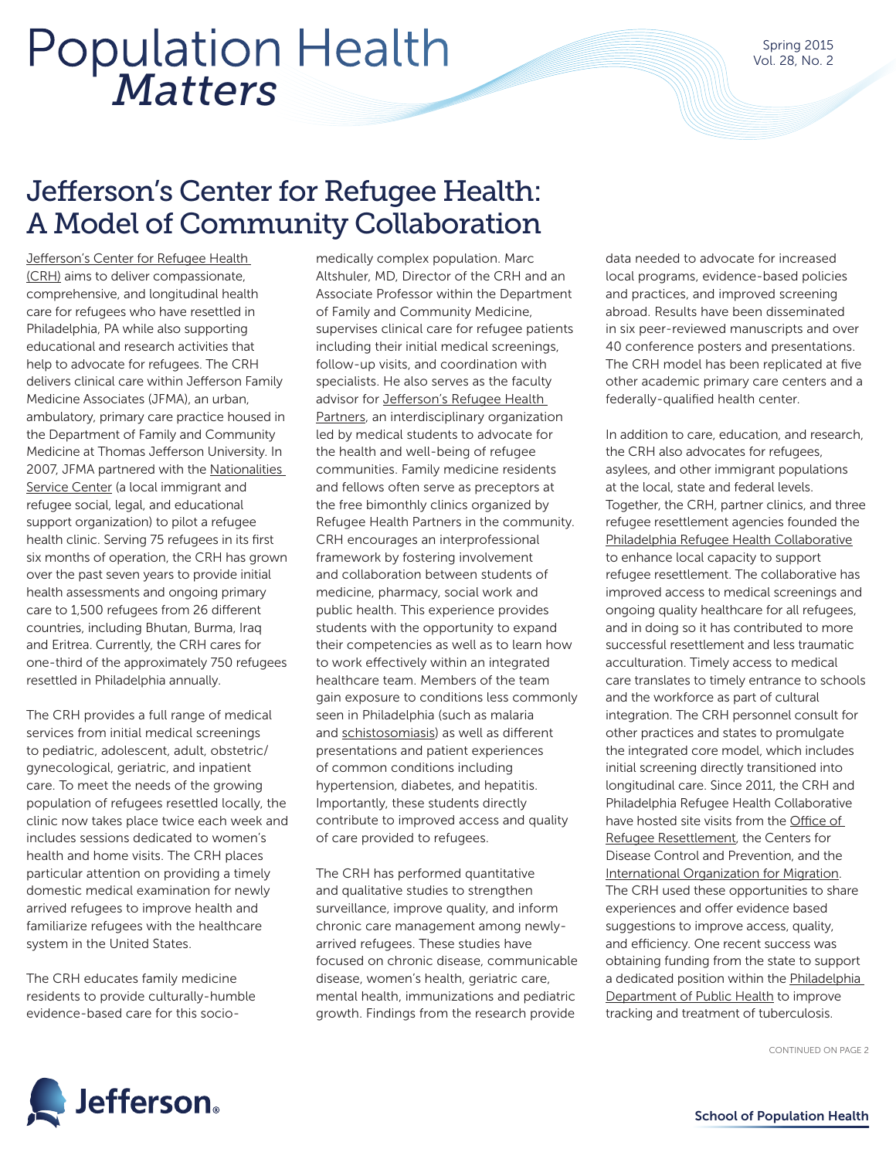# *Matters* Population Health

### Jefferson's Center for Refugee Health: A Model of Community Collaboration

Jefferson's Center for Refugee Health (CRH) aims to deliver compassionate, comprehensive, and longitudinal health care for refugees who have resettled in Philadelphia, PA while also supporting educational and research activities that help to advocate for refugees. The CRH delivers clinical care within Jefferson Family Medicine Associates (JFMA), an urban, ambulatory, primary care practice housed in the Department of Family and Community Medicine at Thomas Jefferson University. In 2007, JFMA partnered with the Nationalities Service Center (a local immigrant and refugee social, legal, and educational support organization) to pilot a refugee health clinic. Serving 75 refugees in its first six months of operation, the CRH has grown over the past seven years to provide initial health assessments and ongoing primary care to 1,500 refugees from 26 different countries, including Bhutan, Burma, Iraq and Eritrea. Currently, the CRH cares for one-third of the approximately 750 refugees resettled in Philadelphia annually.

The CRH provides a full range of medical services from initial medical screenings to pediatric, adolescent, adult, obstetric/ gynecological, geriatric, and inpatient care. To meet the needs of the growing population of refugees resettled locally, the clinic now takes place twice each week and includes sessions dedicated to women's health and home visits. The CRH places particular attention on providing a timely domestic medical examination for newly arrived refugees to improve health and familiarize refugees with the healthcare system in the United States.

The CRH educates family medicine residents to provide culturally-humble evidence-based care for this socio-

medically complex population. Marc Altshuler, MD, Director of the CRH and an Associate Professor within the Department of Family and Community Medicine, supervises clinical care for refugee patients including their initial medical screenings, follow-up visits, and coordination with specialists. He also serves as the faculty advisor for Jefferson's Refugee Health Partners, an interdisciplinary organization led by medical students to advocate for the health and well-being of refugee communities. Family medicine residents and fellows often serve as preceptors at the free bimonthly clinics organized by Refugee Health Partners in the community. CRH encourages an interprofessional framework by fostering involvement and collaboration between students of medicine, pharmacy, social work and public health. This experience provides students with the opportunity to expand their competencies as well as to learn how to work effectively within an integrated healthcare team. Members of the team gain exposure to conditions less commonly seen in Philadelphia (such as malaria and schistosomiasis) as well as different presentations and patient experiences of common conditions including hypertension, diabetes, and hepatitis. Importantly, these students directly contribute to improved access and quality of care provided to refugees.

The CRH has performed quantitative and qualitative studies to strengthen surveillance, improve quality, and inform chronic care management among newlyarrived refugees. These studies have focused on chronic disease, communicable disease, women's health, geriatric care, mental health, immunizations and pediatric growth. Findings from the research provide

data needed to advocate for increased local programs, evidence-based policies and practices, and improved screening abroad. Results have been disseminated in six peer-reviewed manuscripts and over 40 conference posters and presentations. The CRH model has been replicated at five other academic primary care centers and a federally-qualified health center.

In addition to care, education, and research, the CRH also advocates for refugees, asylees, and other immigrant populations at the local, state and federal levels. Together, the CRH, partner clinics, and three refugee resettlement agencies founded the Philadelphia Refugee Health Collaborative to enhance local capacity to support refugee resettlement. The collaborative has improved access to medical screenings and ongoing quality healthcare for all refugees, and in doing so it has contributed to more successful resettlement and less traumatic acculturation. Timely access to medical care translates to timely entrance to schools and the workforce as part of cultural integration. The CRH personnel consult for other practices and states to promulgate the integrated core model, which includes initial screening directly transitioned into longitudinal care. Since 2011, the CRH and Philadelphia Refugee Health Collaborative have hosted site visits from the Office of Refugee Resettlement, the Centers for Disease Control and Prevention, and the International Organization for Migration. The CRH used these opportunities to share experiences and offer evidence based suggestions to improve access, quality, and efficiency. One recent success was obtaining funding from the state to support a dedicated position within the Philadelphia Department of Public Health to improve tracking and treatment of tuberculosis.

CONTINUED ON PAGE 2